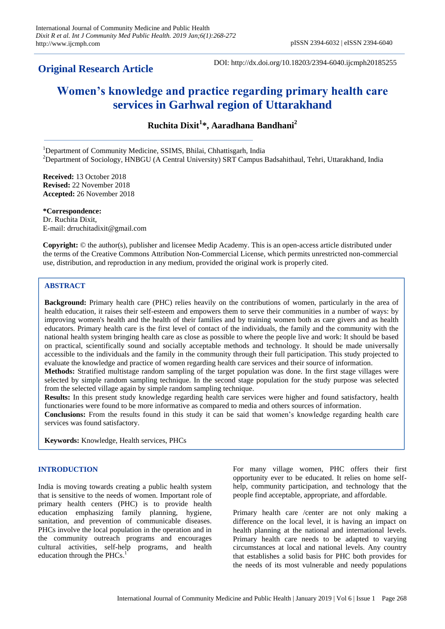# **Original Research Article**

DOI: http://dx.doi.org/10.18203/2394-6040.ijcmph20185255

# **Women's knowledge and practice regarding primary health care services in Garhwal region of Uttarakhand**

**Ruchita Dixit<sup>1</sup> \*, Aaradhana Bandhani<sup>2</sup>**

<sup>1</sup>Department of Community Medicine, SSIMS, Bhilai, Chhattisgarh, India <sup>2</sup>Department of Sociology, HNBGU (A Central University) SRT Campus Badsahithaul, Tehri, Uttarakhand, India

**Received:** 13 October 2018 **Revised:** 22 November 2018 **Accepted:** 26 November 2018

**\*Correspondence:** Dr. Ruchita Dixit, E-mail: drruchitadixit@gmail.com

**Copyright:** © the author(s), publisher and licensee Medip Academy. This is an open-access article distributed under the terms of the Creative Commons Attribution Non-Commercial License, which permits unrestricted non-commercial use, distribution, and reproduction in any medium, provided the original work is properly cited.

# **ABSTRACT**

**Background:** Primary health care (PHC) relies heavily on the contributions of women, particularly in the area of health education, it raises their self-esteem and empowers them to serve their communities in a number of ways: by improving women's health and the health of their families and by training women both as care givers and as health educators. Primary health care is the first level of contact of the individuals, the family and the community with the national health system bringing health care as close as possible to where the people live and work: It should be based on practical, scientifically sound and socially acceptable methods and technology. It should be made universally accessible to the individuals and the family in the community through their full participation. This study projected to evaluate the knowledge and practice of women regarding health care services and their source of information.

**Methods:** Stratified multistage random sampling of the target population was done. In the first stage villages were selected by simple random sampling technique. In the second stage population for the study purpose was selected from the selected village again by simple random sampling technique.

**Results:** In this present study knowledge regarding health care services were higher and found satisfactory, health functionaries were found to be more informative as compared to media and others sources of information.

**Conclusions:** From the results found in this study it can be said that women's knowledge regarding health care services was found satisfactory.

**Keywords:** Knowledge, Health services, PHCs

# **INTRODUCTION**

India is moving towards creating a public health system that is sensitive to the needs of women. Important role of primary health centers (PHC) is to provide health education emphasizing family planning, hygiene, sanitation, and prevention of communicable diseases. PHCs involve the local population in the operation and in the community outreach programs and encourages cultural activities, self-help programs, and health education through the PHCs. $<sup>1</sup>$ </sup>

For many village women, PHC offers their first opportunity ever to be educated. It relies on home selfhelp, community participation, and technology that the people find acceptable, appropriate, and affordable.

Primary health care /center are not only making a difference on the local level, it is having an impact on health planning at the national and international levels. Primary health care needs to be adapted to varying circumstances at local and national levels. Any country that establishes a solid basis for PHC both provides for the needs of its most vulnerable and needy populations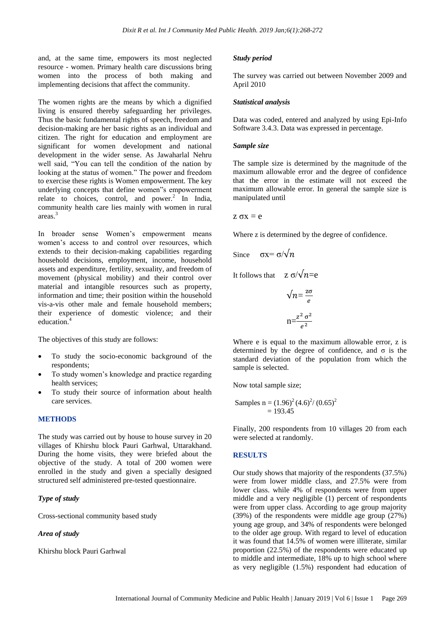and, at the same time, empowers its most neglected resource - women. Primary health care discussions bring women into the process of both making and implementing decisions that affect the community.

The women rights are the means by which a dignified living is ensured thereby safeguarding her privileges. Thus the basic fundamental rights of speech, freedom and decision-making are her basic rights as an individual and citizen. The right for education and employment are significant for women development and national development in the wider sense. As Jawaharlal Nehru well said, "You can tell the condition of the nation by looking at the status of women." The power and freedom to exercise these rights is Women empowerment. The key underlying concepts that define women"s empowerment relate to choices, control, and  $power<sup>2</sup>$  In India, community health care lies mainly with women in rural areas.<sup>3</sup>

In broader sense Women's empowerment means women's access to and control over resources, which extends to their decision-making capabilities regarding household decisions, employment, income, household assets and expenditure, fertility, sexuality, and freedom of movement (physical mobility) and their control over material and intangible resources such as property, information and time; their position within the household vis-a-vis other male and female household members; their experience of domestic violence; and their education.<sup>4</sup>

The objectives of this study are follows:

- To study the socio-economic background of the respondents;
- To study women's knowledge and practice regarding health services;
- To study their source of information about health care services.

# **METHODS**

The study was carried out by house to house survey in 20 villages of Khirshu block Pauri Garhwal, Uttarakhand. During the home visits, they were briefed about the objective of the study. A total of 200 women were enrolled in the study and given a specially designed structured self administered pre-tested questionnaire.

# *Type of study*

Cross-sectional community based study

#### *Area of study*

Khirshu block Pauri Garhwal

#### *Study period*

The survey was carried out between November 2009 and April 2010

#### *Statistical analysis*

Data was coded, entered and analyzed by using Epi-Info Software 3.4.3. Data was expressed in percentage.

#### *Sample size*

The sample size is determined by the magnitude of the maximum allowable error and the degree of confidence that the error in the estimate will not exceed the maximum allowable error. In general the sample size is manipulated until

z σx = e

Where z is determined by the degree of confidence.

Since 
$$
\sigma x = \sigma/\sqrt{n}
$$

It follows that  $z \sigma/\sqrt{n} = e$ 

$$
\sqrt{n} = \frac{z\sigma}{e}
$$

$$
n = \frac{z^2 \sigma^2}{e^2}
$$

Where e is equal to the maximum allowable error, z is determined by the degree of confidence, and  $\sigma$  is the standard deviation of the population from which the sample is selected.

Now total sample size;

Samples n = 
$$
(1.96)^2 (4.6)^2 / (0.65)^2
$$
  
= 193.45

Finally, 200 respondents from 10 villages 20 from each were selected at randomly.

# **RESULTS**

Our study shows that majority of the respondents (37.5%) were from lower middle class, and 27.5% were from lower class. while 4% of respondents were from upper middle and a very negligible (1) percent of respondents were from upper class. According to age group majority (39%) of the respondents were middle age group (27%) young age group, and 34% of respondents were belonged to the older age group. With regard to level of education it was found that 14.5% of women were illiterate, similar proportion (22.5%) of the respondents were educated up to middle and intermediate, 18% up to high school where as very negligible (1.5%) respondent had education of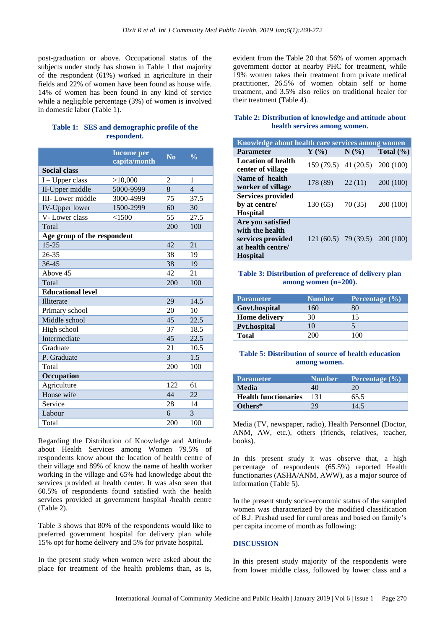post-graduation or above. Occupational status of the subjects under study has shown in Table 1 that majority of the respondent (61%) worked in agriculture in their fields and 22% of women have been found as house wife. 14% of women has been found in any kind of service while a negligible percentage (3%) of women is involved in domestic labor (Table 1).

# **Table 1: SES and demographic profile of the respondent.**

|                             | <b>Income per</b><br>capita/month | $\overline{\text{No}}$ | $\frac{0}{0}$  |
|-----------------------------|-----------------------------------|------------------------|----------------|
| <b>Social class</b>         |                                   |                        |                |
| $I-Upper class$             | >10,000                           | $\overline{2}$         | 1              |
| II-Upper middle             | 5000-9999                         | 8                      | $\overline{4}$ |
| <b>III-Lower middle</b>     | 3000-4999                         | 75                     | 37.5           |
| <b>IV-Upper lower</b>       | 1500-2999                         | 60                     | 30             |
| V-Lower class               | < 1500                            | 55                     | 27.5           |
| Total                       |                                   | 200                    | 100            |
| Age group of the respondent |                                   |                        |                |
| $15 - 25$                   |                                   | 42                     | 21             |
| $26 - 35$                   |                                   | 38                     | 19             |
| 36-45                       |                                   | 38                     | 19             |
| Above 45                    |                                   | 42                     | 21             |
| Total                       |                                   | 200                    | 100            |
| <b>Educational level</b>    |                                   |                        |                |
| <b>Illiterate</b>           |                                   | 29                     | 14.5           |
| Primary school              |                                   | 20                     | 10             |
| Middle school               |                                   | 45                     | 22.5           |
| High school                 |                                   | 37                     | 18.5           |
| Intermediate                |                                   | 45                     | 22.5           |
| Graduate                    |                                   | 21                     | 10.5           |
| P. Graduate                 |                                   | 3                      | 1.5            |
| Total                       |                                   | 200                    | 100            |
| Occupation                  |                                   |                        |                |
| Agriculture                 |                                   | 122                    | 61             |
| House wife                  |                                   | 44                     | 22             |
| Service                     |                                   | 28                     | 14             |
| Labour                      |                                   | 6                      | 3              |
| Total                       |                                   | 200                    | 100            |

Regarding the Distribution of Knowledge and Attitude about Health Services among Women 79.5% of respondents know about the location of health centre of their village and 89% of know the name of health worker working in the village and 65% had knowledge about the services provided at health center. It was also seen that 60.5% of respondents found satisfied with the health services provided at government hospital /health centre (Table 2).

Table 3 shows that 80% of the respondents would like to preferred government hospital for delivery plan while 15% opt for home delivery and 5% for private hospital.

In the present study when women were asked about the place for treatment of the health problems than, as is, evident from the Table 20 that 56% of women approach government doctor at nearby PHC for treatment, while 19% women takes their treatment from private medical practitioner, 26.5% of women obtain self or home treatment, and 3.5% also relies on traditional healer for their treatment (Table 4).

# **Table 2: Distribution of knowledge and attitude about health services among women.**

| Knowledge about health care services among women                                                  |                                |         |               |  |
|---------------------------------------------------------------------------------------------------|--------------------------------|---------|---------------|--|
| <b>Parameter</b>                                                                                  | $\mathbf{Y}$ (%)               | $N(\%)$ | Total $(\% )$ |  |
| <b>Location of health</b><br>center of village                                                    | $159(79.5)$ 41 (20.5)          |         | 200 (100)     |  |
| Name of health<br>worker of village                                                               | 178 (89)                       | 22(11)  | 200 (100)     |  |
| <b>Services provided</b><br>by at centre/<br><b>Hospital</b>                                      | 130(65)                        | 70(35)  | 200 (100)     |  |
| Are you satisfied<br>with the health<br>services provided<br>at health centre/<br><b>Hospital</b> | 121 (60.5) 79 (39.5) 200 (100) |         |               |  |

# **Table 3: Distribution of preference of delivery plan among women (n=200).**

| <b>Parameter</b>     | <b>Number</b> | Percentage $(\% )$ |
|----------------------|---------------|--------------------|
| Govt.hospital        | 160           | 80                 |
| <b>Home delivery</b> | 30            | 15                 |
| <b>Pvt.hospital</b>  | 10            |                    |
| <b>Total</b>         | 200           | 100                |

# **Table 5: Distribution of source of health education among women.**

| <b>Parameter</b>            | <b>Number</b> | Percentage $(\% )$ |
|-----------------------------|---------------|--------------------|
| <b>Media</b>                | 40            | 20                 |
| <b>Health functionaries</b> | 131           | 65.5               |
| Others*                     | 79            | 14.5               |

Media (TV, newspaper, radio), Health Personnel (Doctor, ANM, AW, etc.), others (friends, relatives, teacher, books).

In this present study it was observe that, a high percentage of respondents (65.5%) reported Health functionaries (ASHA/ANM, AWW), as a major source of information (Table 5).

In the present study socio-economic status of the sampled women was characterized by the modified classification of B.J. Prashad used for rural areas and based on family's per capita income of month as following:

# **DISCUSSION**

In this present study majority of the respondents were from lower middle class, followed by lower class and a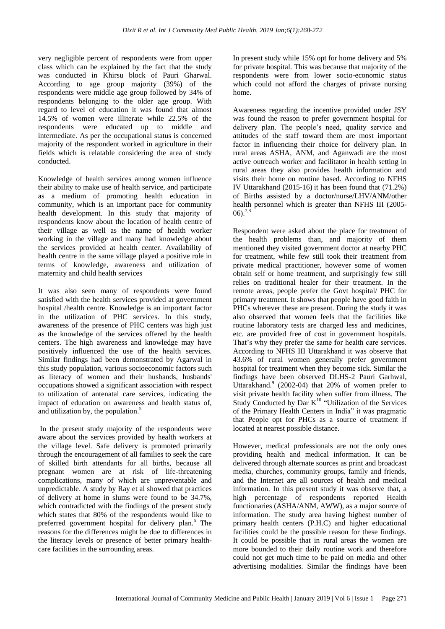very negligible percent of respondents were from upper class which can be explained by the fact that the study was conducted in Khirsu block of Pauri Gharwal. According to age group majority (39%) of the respondents were middle age group followed by 34% of respondents belonging to the older age group. With regard to level of education it was found that almost 14.5% of women were illiterate while 22.5% of the respondents were educated up to middle and intermediate. As per the occupational status is concerned majority of the respondent worked in agriculture in their fields which is relatable considering the area of study conducted.

Knowledge of health services among women influence their ability to make use of health service, and participate as a medium of promoting health education in community, which is an important pace for community health development. In this study that majority of respondents know about the location of health centre of their village as well as the name of health worker working in the village and many had knowledge about the services provided at health center. Availability of health centre in the same village played a positive role in terms of knowledge, awareness and utilization of maternity and child health services

It was also seen many of respondents were found satisfied with the health services provided at government hospital /health centre. Knowledge is an important factor in the utilization of PHC services. In this study, awareness of the presence of PHC centers was high just as the knowledge of the services offered by the health centers. The high awareness and knowledge may have positively influenced the use of the health services. Similar findings had been demonstrated by Agarwal in this study population, various socioeconomic factors such as literacy of women and their husbands, husbands' occupations showed a significant association with respect to utilization of antenatal care services, indicating the impact of education on awareness and health status of, and utilization by, the population.<sup>5</sup>

In the present study majority of the respondents were aware about the services provided by health workers at the village level. Safe delivery is promoted primarily through the encouragement of all families to seek the care of skilled birth attendants for all births, because all pregnant women are at risk of life-threatening complications, many of which are unpreventable and unpredictable. A study by Ray et al showed that practices of delivery at home in slums were found to be 34.7%, which contradicted with the findings of the present study which states that 80% of the respondents would like to preferred government hospital for delivery plan. <sup>6</sup> The reasons for the differences might be due to differences in the literacy levels or presence of better primary healthcare facilities in the surrounding areas.

In present study while 15% opt for home delivery and 5% for private hospital. This was because that majority of the respondents were from lower socio-economic status which could not afford the charges of private nursing home.

Awareness regarding the incentive provided under JSY was found the reason to prefer government hospital for delivery plan. The people's need, quality service and attitudes of the staff toward them are most important factor in influencing their choice for delivery plan. In rural areas ASHA, ANM, and Aganwadi are the most active outreach worker and facilitator in health setting in rural areas they also provides health information and visits their home on routine based. According to NFHS IV Uttarakhand (2015-16) it has been found that (71.2%) of Births assisted by a doctor/nurse/LHV/ANM/other health personnel which is greater than NFHS III (2005-  $06$ ).<sup>7,8</sup>

Respondent were asked about the place for treatment of the health problems than, and majority of them mentioned they visited government doctor at nearby PHC for treatment, while few still took their treatment from private medical practitioner, however some of women obtain self or home treatment, and surprisingly few still relies on traditional healer for their treatment. In the remote areas, people prefer the Govt hospital/ PHC for primary treatment. It shows that people have good faith in PHCs wherever these are present. During the study it was also observed that women feels that the facilities like routine laboratory tests are charged less and medicines, etc. are provided free of cost in government hospitals. That's why they prefer the same for health care services. According to NFHS III Uttarakhand it was observe that 43.6% of rural women generally prefer government hospital for treatment when they become sick. Similar the findings have been observed DLHS-2 Pauri Garhwal, Uttarakhand.<sup>9</sup> (2002-04) that 20% of women prefer to visit private health facility when suffer from illness. The Study Conducted by Dar  $K^{10}$  "Utilization of the Services of the Primary Health Centers in India" it was pragmatic that People opt for PHCs as a source of treatment if located at nearest possible distance.

However, medical professionals are not the only ones providing health and medical information. It can be delivered through alternate sources as print and broadcast media, churches, community groups, family and friends, and the Internet are all sources of health and medical information. In this present study it was observe that, a high percentage of respondents reported Health functionaries (ASHA/ANM, AWW), as a major source of information. The study area having highest number of primary health centers (P.H.C) and higher educational facilities could be the possible reason for these findings. It could be possible that in rural areas the women are more bounded to their daily routine work and therefore could not get much time to be paid on media and other advertising modalities. Similar the findings have been